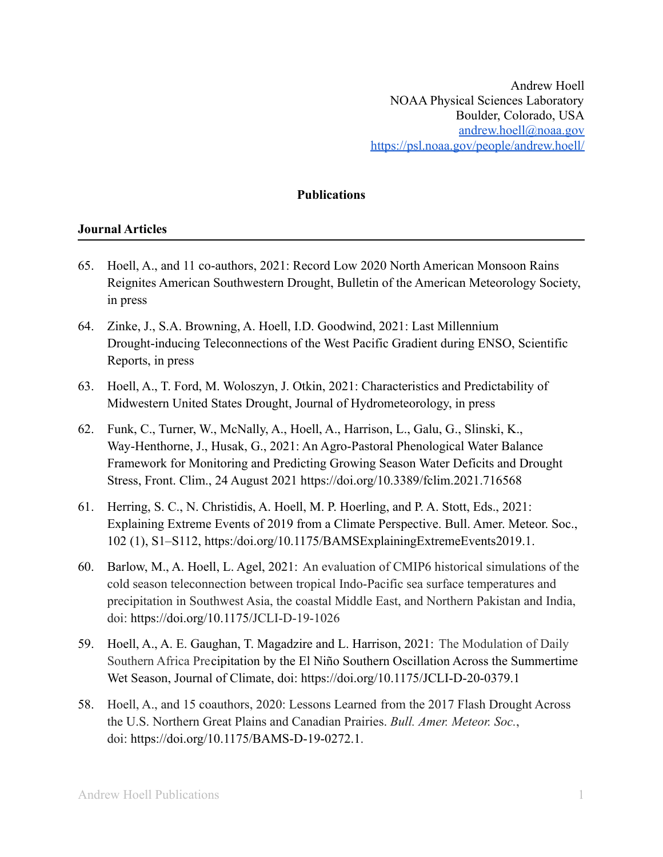## **Publications**

## **Journal Articles**

- 65. Hoell, A., and 11 co-authors, 2021: Record Low 2020 North American Monsoon Rains Reignites American Southwestern Drought, Bulletin of the American Meteorology Society, in press
- 64. Zinke, J., S.A. Browning, A. Hoell, I.D. Goodwind, 2021: Last Millennium Drought-inducing Teleconnections of the West Pacific Gradient during ENSO, Scientific Reports, in press
- 63. Hoell, A., T. Ford, M. Woloszyn, J. Otkin, 2021: Characteristics and Predictability of Midwestern United States Drought, Journal of Hydrometeorology, in press
- 62. Funk, C., Turner, W., McNally, A., Hoell, A., Harrison, L., Galu, G., Slinski, K., Way-Henthorne, J., Husak, G., 2021: An Agro-Pastoral Phenological Water Balance Framework for Monitoring and Predicting Growing Season Water Deficits and Drought Stress, Front. Clim., 24 August 2021 https://doi.org/10.3389/fclim.2021.716568
- 61. Herring, S. C., N. Christidis, A. Hoell, M. P. Hoerling, and P. A. Stott, Eds., 2021: Explaining Extreme Events of 2019 from a Climate Perspective. Bull. Amer. Meteor. Soc., 102 (1), S1–S112, https:/doi.org/10.1175/BAMSExplainingExtremeEvents2019.1.
- 60. Barlow, M., A. Hoell, L. Agel, 2021: An evaluation of CMIP6 historical simulations of the cold season teleconnection between tropical Indo-Pacific sea surface temperatures and precipitation in Southwest Asia, the coastal Middle East, and Northern Pakistan and India, doi: https://doi.org/10.1175/JCLI-D-19-1026
- 59. Hoell, A., A. E. Gaughan, T. Magadzire and L. Harrison, 2021: The Modulation of Daily Southern Africa Precipitation by the El Niño Southern Oscillation Across the Summertime Wet Season, Journal of Climate, doi: https://doi.org/10.1175/JCLI-D-20-0379.1
- 58. Hoell, A., and 15 coauthors, 2020: Lessons Learned from the 2017 Flash Drought Across the U.S. Northern Great Plains and Canadian Prairies. *Bull. Amer. Meteor. Soc.*, doi: https://doi.org/10.1175/BAMS-D-19-0272.1.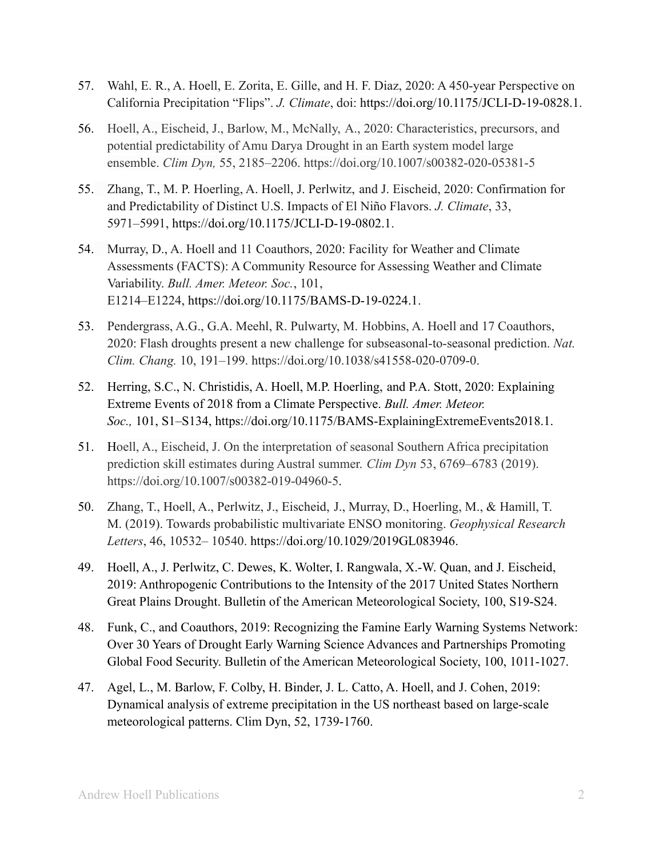- 57. Wahl, E. R., A. Hoell, E. Zorita, E. Gille, and H. F. Diaz, 2020: A 450-year Perspective on California Precipitation "Flips". *J. Climate*, doi: https://doi.org/10.1175/JCLI-D-19-0828.1.
- 56. Hoell, A., Eischeid, J., Barlow, M., McNally, A., 2020: Characteristics, precursors, and potential predictability of Amu Darya Drought in an Earth system model large ensemble. *Clim Dyn,* 55, 2185–2206. https://doi.org/10.1007/s00382-020-05381-5
- 55. Zhang, T., M. P. Hoerling, A. Hoell, J. Perlwitz, and J. Eischeid, 2020: Confirmation for and Predictability of Distinct U.S. Impacts of El Niño Flavors. *J. Climate*, 33, 5971–5991, https://doi.org/10.1175/JCLI-D-19-0802.1.
- 54. Murray, D., A. Hoell and 11 Coauthors, 2020: Facility for Weather and Climate Assessments (FACTS): A Community Resource for Assessing Weather and Climate Variability. *Bull. Amer. Meteor. Soc.*, 101, E1214–E1224, https://doi.org/10.1175/BAMS-D-19-0224.1.
- 53. Pendergrass, A.G., G.A. Meehl, R. Pulwarty, M. Hobbins, A. Hoell and 17 Coauthors, 2020: Flash droughts present a new challenge for subseasonal-to-seasonal prediction. *Nat. Clim. Chang.* 10, 191–199. https://doi.org/10.1038/s41558-020-0709-0.
- 52. Herring, S.C., N. Christidis, A. Hoell, M.P. Hoerling, and P.A. Stott, 2020: Explaining Extreme Events of 2018 from a Climate Perspective. *Bull. Amer. Meteor. Soc.,* 101, S1–S134, https://doi.org/10.1175/BAMS-ExplainingExtremeEvents2018.1.
- 51. Hoell, A., Eischeid, J. On the interpretation of seasonal Southern Africa precipitation prediction skill estimates during Austral summer. *Clim Dyn* 53, 6769–6783 (2019). https://doi.org/10.1007/s00382-019-04960-5.
- 50. Zhang, T., Hoell, A., Perlwitz, J., Eischeid, J., Murray, D., Hoerling, M., & Hamill, T. M. (2019). Towards probabilistic multivariate ENSO monitoring. *Geophysical Research Letters*, 46, 10532– 10540. https://doi.org/10.1029/2019GL083946.
- 49. Hoell, A., J. Perlwitz, C. Dewes, K. Wolter, I. Rangwala, X.-W. Quan, and J. Eischeid, 2019: Anthropogenic Contributions to the Intensity of the 2017 United States Northern Great Plains Drought. Bulletin of the American Meteorological Society, 100, S19-S24.
- 48. Funk, C., and Coauthors, 2019: Recognizing the Famine Early Warning Systems Network: Over 30 Years of Drought Early Warning Science Advances and Partnerships Promoting Global Food Security. Bulletin of the American Meteorological Society, 100, 1011-1027.
- 47. Agel, L., M. Barlow, F. Colby, H. Binder, J. L. Catto, A. Hoell, and J. Cohen, 2019: Dynamical analysis of extreme precipitation in the US northeast based on large-scale meteorological patterns. Clim Dyn, 52, 1739-1760.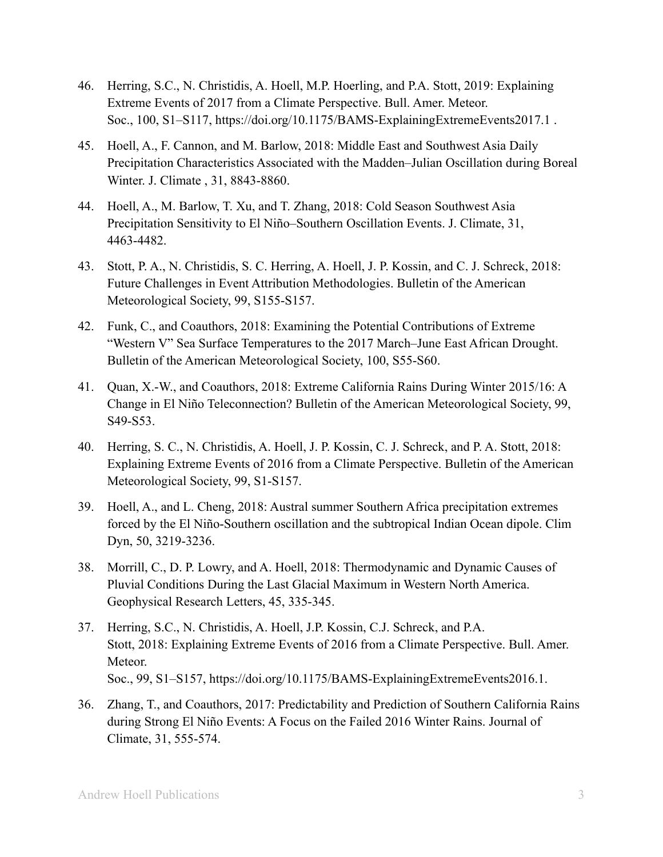- 46. Herring, S.C., N. Christidis, A. Hoell, M.P. Hoerling, and P.A. Stott, 2019: Explaining Extreme Events of 2017 from a Climate Perspective. Bull. Amer. Meteor. Soc., 100, S1–S117, https://doi.org/10.1175/BAMS-ExplainingExtremeEvents2017.1 .
- 45. Hoell, A., F. Cannon, and M. Barlow, 2018: Middle East and Southwest Asia Daily Precipitation Characteristics Associated with the Madden–Julian Oscillation during Boreal Winter. J. Climate , 31, 8843-8860.
- 44. Hoell, A., M. Barlow, T. Xu, and T. Zhang, 2018: Cold Season Southwest Asia Precipitation Sensitivity to El Niño–Southern Oscillation Events. J. Climate, 31, 4463-4482.
- 43. Stott, P. A., N. Christidis, S. C. Herring, A. Hoell, J. P. Kossin, and C. J. Schreck, 2018: Future Challenges in Event Attribution Methodologies. Bulletin of the American Meteorological Society, 99, S155-S157.
- 42. Funk, C., and Coauthors, 2018: Examining the Potential Contributions of Extreme "Western V" Sea Surface Temperatures to the 2017 March–June East African Drought. Bulletin of the American Meteorological Society, 100, S55-S60.
- 41. Quan, X.-W., and Coauthors, 2018: Extreme California Rains During Winter 2015/16: A Change in El Niño Teleconnection? Bulletin of the American Meteorological Society, 99, S49-S53.
- 40. Herring, S. C., N. Christidis, A. Hoell, J. P. Kossin, C. J. Schreck, and P. A. Stott, 2018: Explaining Extreme Events of 2016 from a Climate Perspective. Bulletin of the American Meteorological Society, 99, S1-S157.
- 39. Hoell, A., and L. Cheng, 2018: Austral summer Southern Africa precipitation extremes forced by the El Niño-Southern oscillation and the subtropical Indian Ocean dipole. Clim Dyn, 50, 3219-3236.
- 38. Morrill, C., D. P. Lowry, and A. Hoell, 2018: Thermodynamic and Dynamic Causes of Pluvial Conditions During the Last Glacial Maximum in Western North America. Geophysical Research Letters, 45, 335-345.
- 37. Herring, S.C., N. Christidis, A. Hoell, J.P. Kossin, C.J. Schreck, and P.A. Stott, 2018: Explaining Extreme Events of 2016 from a Climate Perspective. Bull. Amer. Meteor. Soc., 99, S1–S157, https://doi.org/10.1175/BAMS-ExplainingExtremeEvents2016.1.
- 36. Zhang, T., and Coauthors, 2017: Predictability and Prediction of Southern California Rains during Strong El Niño Events: A Focus on the Failed 2016 Winter Rains. Journal of Climate, 31, 555-574.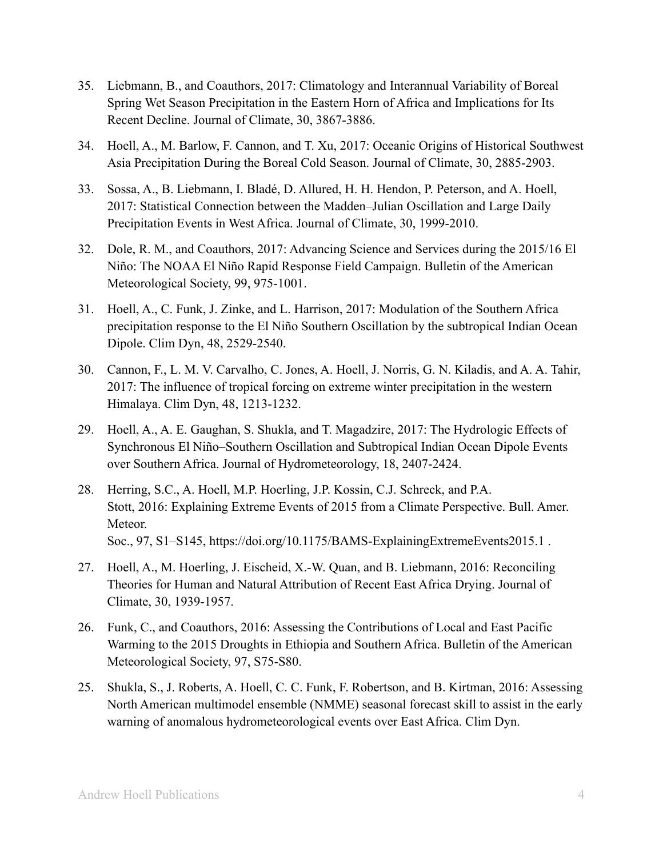- 35. Liebmann, B., and Coauthors, 2017: Climatology and Interannual Variability of Boreal Spring Wet Season Precipitation in the Eastern Horn of Africa and Implications for Its Recent Decline. Journal of Climate, 30, 3867-3886.
- 34. Hoell, A., M. Barlow, F. Cannon, and T. Xu, 2017: Oceanic Origins of Historical Southwest Asia Precipitation During the Boreal Cold Season. Journal of Climate, 30, 2885-2903.
- 33. Sossa, A., B. Liebmann, I. Bladé, D. Allured, H. H. Hendon, P. Peterson, and A. Hoell, 2017: Statistical Connection between the Madden–Julian Oscillation and Large Daily Precipitation Events in West Africa. Journal of Climate, 30, 1999-2010.
- 32. Dole, R. M., and Coauthors, 2017: Advancing Science and Services during the 2015/16 El Niño: The NOAA El Niño Rapid Response Field Campaign. Bulletin of the American Meteorological Society, 99, 975-1001.
- 31. Hoell, A., C. Funk, J. Zinke, and L. Harrison, 2017: Modulation of the Southern Africa precipitation response to the El Niño Southern Oscillation by the subtropical Indian Ocean Dipole. Clim Dyn, 48, 2529-2540.
- 30. Cannon, F., L. M. V. Carvalho, C. Jones, A. Hoell, J. Norris, G. N. Kiladis, and A. A. Tahir, 2017: The influence of tropical forcing on extreme winter precipitation in the western Himalaya. Clim Dyn, 48, 1213-1232.
- 29. Hoell, A., A. E. Gaughan, S. Shukla, and T. Magadzire, 2017: The Hydrologic Effects of Synchronous El Niño–Southern Oscillation and Subtropical Indian Ocean Dipole Events over Southern Africa. Journal of Hydrometeorology, 18, 2407-2424.
- 28. Herring, S.C., A. Hoell, M.P. Hoerling, J.P. Kossin, C.J. Schreck, and P.A. Stott, 2016: Explaining Extreme Events of 2015 from a Climate Perspective. Bull. Amer. Meteor. Soc., 97, S1–S145, https://doi.org/10.1175/BAMS-ExplainingExtremeEvents2015.1 .
- 27. Hoell, A., M. Hoerling, J. Eischeid, X.-W. Quan, and B. Liebmann, 2016: Reconciling Theories for Human and Natural Attribution of Recent East Africa Drying. Journal of Climate, 30, 1939-1957.
- 26. Funk, C., and Coauthors, 2016: Assessing the Contributions of Local and East Pacific Warming to the 2015 Droughts in Ethiopia and Southern Africa. Bulletin of the American Meteorological Society, 97, S75-S80.
- 25. Shukla, S., J. Roberts, A. Hoell, C. C. Funk, F. Robertson, and B. Kirtman, 2016: Assessing North American multimodel ensemble (NMME) seasonal forecast skill to assist in the early warning of anomalous hydrometeorological events over East Africa. Clim Dyn.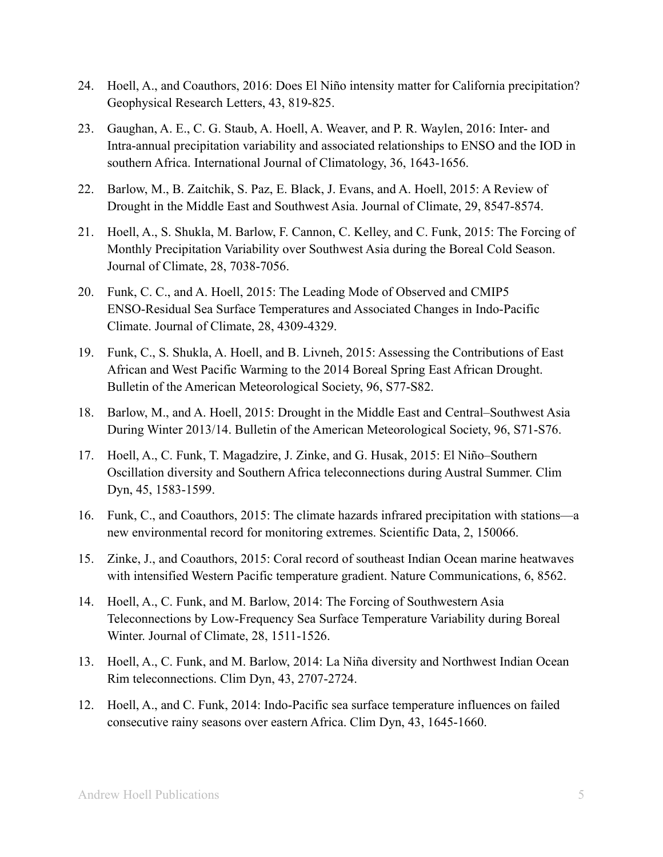- 24. Hoell, A., and Coauthors, 2016: Does El Niño intensity matter for California precipitation? Geophysical Research Letters, 43, 819-825.
- 23. Gaughan, A. E., C. G. Staub, A. Hoell, A. Weaver, and P. R. Waylen, 2016: Inter- and Intra-annual precipitation variability and associated relationships to ENSO and the IOD in southern Africa. International Journal of Climatology, 36, 1643-1656.
- 22. Barlow, M., B. Zaitchik, S. Paz, E. Black, J. Evans, and A. Hoell, 2015: A Review of Drought in the Middle East and Southwest Asia. Journal of Climate, 29, 8547-8574.
- 21. Hoell, A., S. Shukla, M. Barlow, F. Cannon, C. Kelley, and C. Funk, 2015: The Forcing of Monthly Precipitation Variability over Southwest Asia during the Boreal Cold Season. Journal of Climate, 28, 7038-7056.
- 20. Funk, C. C., and A. Hoell, 2015: The Leading Mode of Observed and CMIP5 ENSO-Residual Sea Surface Temperatures and Associated Changes in Indo-Pacific Climate. Journal of Climate, 28, 4309-4329.
- 19. Funk, C., S. Shukla, A. Hoell, and B. Livneh, 2015: Assessing the Contributions of East African and West Pacific Warming to the 2014 Boreal Spring East African Drought. Bulletin of the American Meteorological Society, 96, S77-S82.
- 18. Barlow, M., and A. Hoell, 2015: Drought in the Middle East and Central–Southwest Asia During Winter 2013/14. Bulletin of the American Meteorological Society, 96, S71-S76.
- 17. Hoell, A., C. Funk, T. Magadzire, J. Zinke, and G. Husak, 2015: El Niño–Southern Oscillation diversity and Southern Africa teleconnections during Austral Summer. Clim Dyn, 45, 1583-1599.
- 16. Funk, C., and Coauthors, 2015: The climate hazards infrared precipitation with stations—a new environmental record for monitoring extremes. Scientific Data, 2, 150066.
- 15. Zinke, J., and Coauthors, 2015: Coral record of southeast Indian Ocean marine heatwaves with intensified Western Pacific temperature gradient. Nature Communications, 6, 8562.
- 14. Hoell, A., C. Funk, and M. Barlow, 2014: The Forcing of Southwestern Asia Teleconnections by Low-Frequency Sea Surface Temperature Variability during Boreal Winter. Journal of Climate, 28, 1511-1526.
- 13. Hoell, A., C. Funk, and M. Barlow, 2014: La Niña diversity and Northwest Indian Ocean Rim teleconnections. Clim Dyn, 43, 2707-2724.
- 12. Hoell, A., and C. Funk, 2014: Indo-Pacific sea surface temperature influences on failed consecutive rainy seasons over eastern Africa. Clim Dyn, 43, 1645-1660.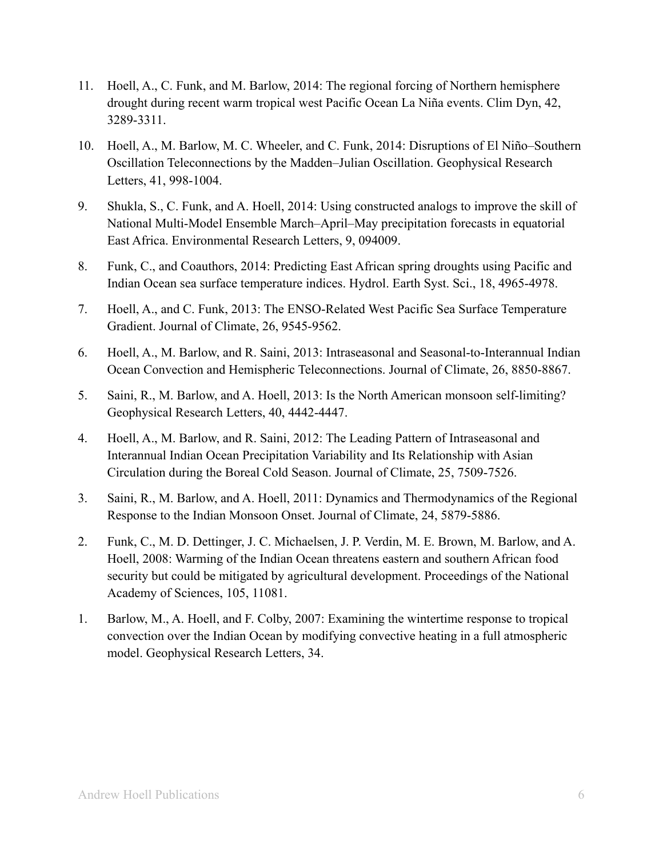- 11. Hoell, A., C. Funk, and M. Barlow, 2014: The regional forcing of Northern hemisphere drought during recent warm tropical west Pacific Ocean La Niña events. Clim Dyn, 42, 3289-3311.
- 10. Hoell, A., M. Barlow, M. C. Wheeler, and C. Funk, 2014: Disruptions of El Niño–Southern Oscillation Teleconnections by the Madden–Julian Oscillation. Geophysical Research Letters, 41, 998-1004.
- 9. Shukla, S., C. Funk, and A. Hoell, 2014: Using constructed analogs to improve the skill of National Multi-Model Ensemble March–April–May precipitation forecasts in equatorial East Africa. Environmental Research Letters, 9, 094009.
- 8. Funk, C., and Coauthors, 2014: Predicting East African spring droughts using Pacific and Indian Ocean sea surface temperature indices. Hydrol. Earth Syst. Sci., 18, 4965-4978.
- 7. Hoell, A., and C. Funk, 2013: The ENSO-Related West Pacific Sea Surface Temperature Gradient. Journal of Climate, 26, 9545-9562.
- 6. Hoell, A., M. Barlow, and R. Saini, 2013: Intraseasonal and Seasonal-to-Interannual Indian Ocean Convection and Hemispheric Teleconnections. Journal of Climate, 26, 8850-8867.
- 5. Saini, R., M. Barlow, and A. Hoell, 2013: Is the North American monsoon self-limiting? Geophysical Research Letters, 40, 4442-4447.
- 4. Hoell, A., M. Barlow, and R. Saini, 2012: The Leading Pattern of Intraseasonal and Interannual Indian Ocean Precipitation Variability and Its Relationship with Asian Circulation during the Boreal Cold Season. Journal of Climate, 25, 7509-7526.
- 3. Saini, R., M. Barlow, and A. Hoell, 2011: Dynamics and Thermodynamics of the Regional Response to the Indian Monsoon Onset. Journal of Climate, 24, 5879-5886.
- 2. Funk, C., M. D. Dettinger, J. C. Michaelsen, J. P. Verdin, M. E. Brown, M. Barlow, and A. Hoell, 2008: Warming of the Indian Ocean threatens eastern and southern African food security but could be mitigated by agricultural development. Proceedings of the National Academy of Sciences, 105, 11081.
- 1. Barlow, M., A. Hoell, and F. Colby, 2007: Examining the wintertime response to tropical convection over the Indian Ocean by modifying convective heating in a full atmospheric model. Geophysical Research Letters, 34.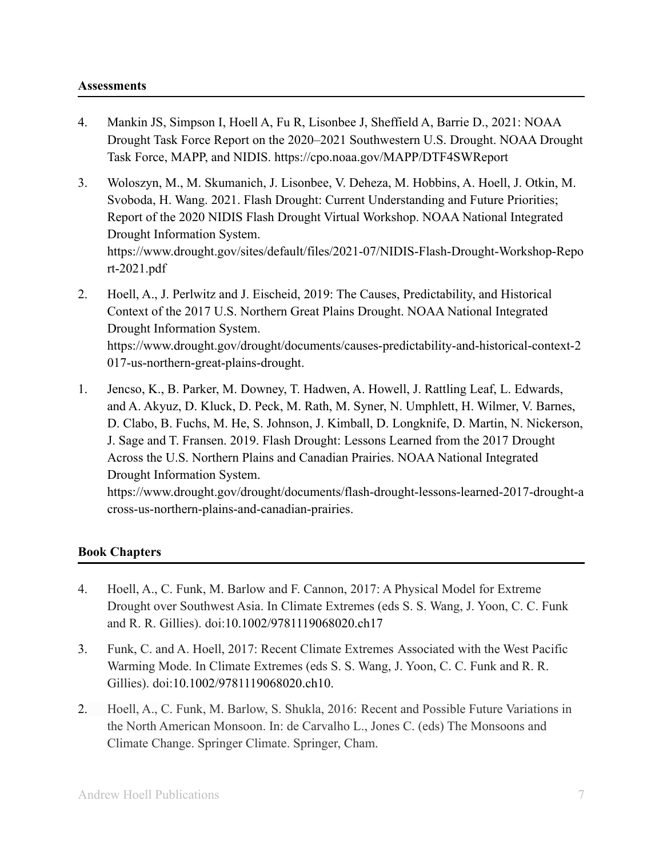## **Assessments**

- 4. Mankin JS, Simpson I, Hoell A, Fu R, Lisonbee J, Sheffield A, Barrie D., 2021: NOAA Drought Task Force Report on the 2020–2021 Southwestern U.S. Drought. NOAA Drought Task Force, MAPP, and NIDIS. https://cpo.noaa.gov/MAPP/DTF4SWReport
- 3. Woloszyn, M., M. Skumanich, J. Lisonbee, V. Deheza, M. Hobbins, A. Hoell, J. Otkin, M. Svoboda, H. Wang. 2021. Flash Drought: Current Understanding and Future Priorities; Report of the 2020 NIDIS Flash Drought Virtual Workshop. NOAA National Integrated Drought Information System. https://www.drought.gov/sites/default/files/2021-07/NIDIS-Flash-Drought-Workshop-Repo rt-2021.pdf
- 2. Hoell, A., J. Perlwitz and J. Eischeid, 2019: The Causes, Predictability, and Historical Context of the 2017 U.S. Northern Great Plains Drought. NOAA National Integrated Drought Information System. https://www.drought.gov/drought/documents/causes-predictability-and-historical-context-2 017-us-northern-great-plains-drought.
- 1. Jencso, K., B. Parker, M. Downey, T. Hadwen, A. Howell, J. Rattling Leaf, L. Edwards, and A. Akyuz, D. Kluck, D. Peck, M. Rath, M. Syner, N. Umphlett, H. Wilmer, V. Barnes, D. Clabo, B. Fuchs, M. He, S. Johnson, J. Kimball, D. Longknife, D. Martin, N. Nickerson, J. Sage and T. Fransen. 2019. Flash Drought: Lessons Learned from the 2017 Drought Across the U.S. Northern Plains and Canadian Prairies. NOAA National Integrated Drought Information System. https://www.drought.gov/drought/documents/flash-drought-lessons-learned-2017-drought-a

cross-us-northern-plains-and-canadian-prairies.

## **Book Chapters**

- 4. Hoell, A., C. Funk, M. Barlow and F. Cannon, 2017: A Physical Model for Extreme Drought over Southwest Asia. In Climate Extremes (eds S. S. Wang, J. Yoon, C. C. Funk and R. R. Gillies). doi:10.1002/9781119068020.ch17
- 3. Funk, C. and A. Hoell, 2017: Recent Climate Extremes Associated with the West Pacific Warming Mode. In Climate Extremes (eds S. S. Wang, J. Yoon, C. C. Funk and R. R. Gillies). doi:10.1002/9781119068020.ch10.
- 2. Hoell, A., C. Funk, M. Barlow, S. Shukla, 2016: Recent and Possible Future Variations in the North American Monsoon. In: de Carvalho L., Jones C. (eds) The Monsoons and Climate Change. Springer Climate. Springer, Cham.